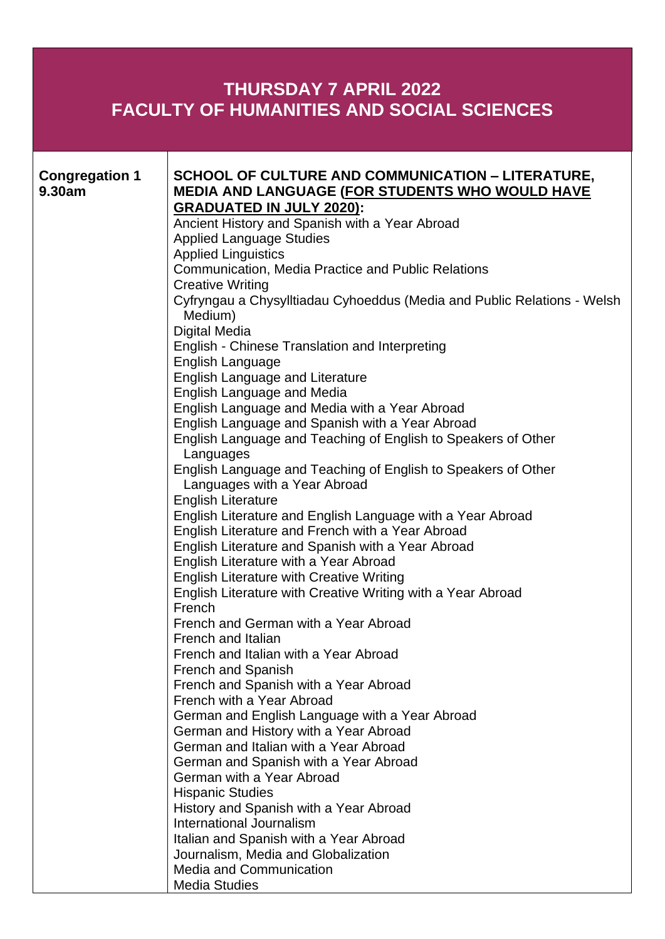## **THURSDAY 7 APRIL 2022 FACULTY OF HUMANITIES AND SOCIAL SCIENCES**

| <b>SCHOOL OF CULTURE AND COMMUNICATION - LITERATURE,</b><br><b>Congregation 1</b>                                |  |
|------------------------------------------------------------------------------------------------------------------|--|
|                                                                                                                  |  |
| 9.30am<br><b>MEDIA AND LANGUAGE (FOR STUDENTS WHO WOULD HAVE</b>                                                 |  |
| <b>GRADUATED IN JULY 2020):</b>                                                                                  |  |
| Ancient History and Spanish with a Year Abroad                                                                   |  |
| <b>Applied Language Studies</b>                                                                                  |  |
| <b>Applied Linguistics</b>                                                                                       |  |
| <b>Communication, Media Practice and Public Relations</b>                                                        |  |
| <b>Creative Writing</b>                                                                                          |  |
| Cyfryngau a Chysylltiadau Cyhoeddus (Media and Public Relations - Welsh                                          |  |
| Medium)                                                                                                          |  |
| <b>Digital Media</b>                                                                                             |  |
| English - Chinese Translation and Interpreting                                                                   |  |
| English Language                                                                                                 |  |
| <b>English Language and Literature</b>                                                                           |  |
| <b>English Language and Media</b>                                                                                |  |
| English Language and Media with a Year Abroad                                                                    |  |
| English Language and Spanish with a Year Abroad<br>English Language and Teaching of English to Speakers of Other |  |
| Languages                                                                                                        |  |
| English Language and Teaching of English to Speakers of Other                                                    |  |
| Languages with a Year Abroad                                                                                     |  |
| <b>English Literature</b>                                                                                        |  |
| English Literature and English Language with a Year Abroad                                                       |  |
| English Literature and French with a Year Abroad                                                                 |  |
| English Literature and Spanish with a Year Abroad                                                                |  |
| English Literature with a Year Abroad                                                                            |  |
| <b>English Literature with Creative Writing</b>                                                                  |  |
| English Literature with Creative Writing with a Year Abroad                                                      |  |
| French                                                                                                           |  |
| French and German with a Year Abroad                                                                             |  |
| French and Italian                                                                                               |  |
| French and Italian with a Year Abroad                                                                            |  |
| <b>French and Spanish</b>                                                                                        |  |
| French and Spanish with a Year Abroad                                                                            |  |
| French with a Year Abroad                                                                                        |  |
| German and English Language with a Year Abroad                                                                   |  |
| German and History with a Year Abroad                                                                            |  |
| German and Italian with a Year Abroad                                                                            |  |
| German and Spanish with a Year Abroad<br>German with a Year Abroad                                               |  |
| <b>Hispanic Studies</b>                                                                                          |  |
| History and Spanish with a Year Abroad                                                                           |  |
| International Journalism                                                                                         |  |
| Italian and Spanish with a Year Abroad                                                                           |  |
| Journalism, Media and Globalization                                                                              |  |
| <b>Media and Communication</b>                                                                                   |  |
| <b>Media Studies</b>                                                                                             |  |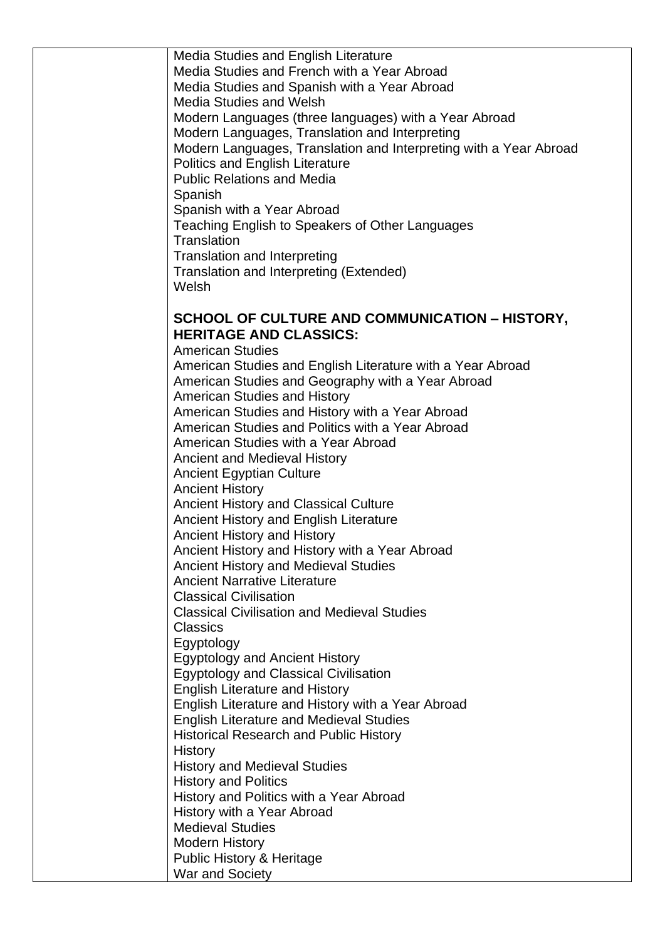Media Studies and English Literature Media Studies and French with a Year Abroad Media Studies and Spanish with a Year Abroad Media Studies and Welsh Modern Languages (three languages) with a Year Abroad Modern Languages, Translation and Interpreting Modern Languages, Translation and Interpreting with a Year Abroad Politics and English Literature Public Relations and Media Spanish Spanish with a Year Abroad Teaching English to Speakers of Other Languages **Translation** Translation and Interpreting Translation and Interpreting (Extended) Welsh

## **SCHOOL OF CULTURE AND COMMUNICATION – HISTORY, HERITAGE AND CLASSICS:**

American Studies American Studies and English Literature with a Year Abroad American Studies and Geography with a Year Abroad American Studies and History American Studies and History with a Year Abroad American Studies and Politics with a Year Abroad American Studies with a Year Abroad Ancient and Medieval History Ancient Egyptian Culture Ancient History Ancient History and Classical Culture Ancient History and English Literature Ancient History and History Ancient History and History with a Year Abroad Ancient History and Medieval Studies Ancient Narrative Literature Classical Civilisation Classical Civilisation and Medieval Studies Classics **Egyptology** Egyptology and Ancient History Egyptology and Classical Civilisation English Literature and History English Literature and History with a Year Abroad English Literature and Medieval Studies Historical Research and Public History **History** History and Medieval Studies History and Politics History and Politics with a Year Abroad History with a Year Abroad Medieval Studies Modern History Public History & Heritage War and Society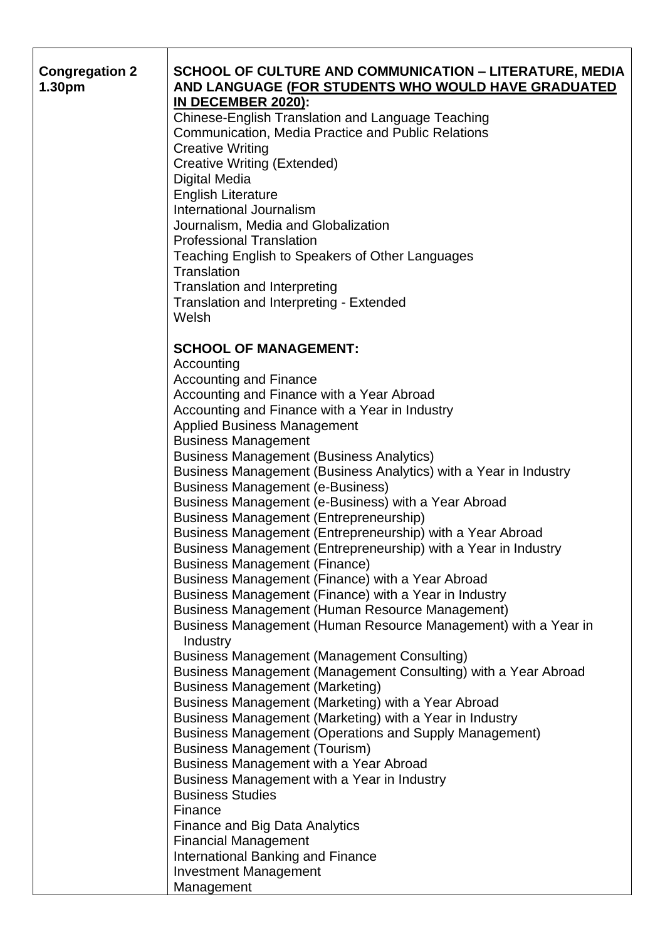| <b>Congregation 2</b> | <b>SCHOOL OF CULTURE AND COMMUNICATION - LITERATURE, MEDIA</b>                                           |
|-----------------------|----------------------------------------------------------------------------------------------------------|
| 1.30pm                | AND LANGUAGE (FOR STUDENTS WHO WOULD HAVE GRADUATED                                                      |
|                       | IN DECEMBER 2020):                                                                                       |
|                       | Chinese-English Translation and Language Teaching                                                        |
|                       | <b>Communication, Media Practice and Public Relations</b>                                                |
|                       | <b>Creative Writing</b>                                                                                  |
|                       | <b>Creative Writing (Extended)</b>                                                                       |
|                       | <b>Digital Media</b>                                                                                     |
|                       | <b>English Literature</b>                                                                                |
|                       | International Journalism                                                                                 |
|                       | Journalism, Media and Globalization                                                                      |
|                       | <b>Professional Translation</b>                                                                          |
|                       | Teaching English to Speakers of Other Languages                                                          |
|                       | Translation                                                                                              |
|                       | <b>Translation and Interpreting</b>                                                                      |
|                       | Translation and Interpreting - Extended                                                                  |
|                       | Welsh                                                                                                    |
|                       |                                                                                                          |
|                       | <b>SCHOOL OF MANAGEMENT:</b>                                                                             |
|                       | Accounting<br><b>Accounting and Finance</b>                                                              |
|                       | Accounting and Finance with a Year Abroad                                                                |
|                       | Accounting and Finance with a Year in Industry                                                           |
|                       | <b>Applied Business Management</b>                                                                       |
|                       | <b>Business Management</b>                                                                               |
|                       | <b>Business Management (Business Analytics)</b>                                                          |
|                       | Business Management (Business Analytics) with a Year in Industry                                         |
|                       | <b>Business Management (e-Business)</b>                                                                  |
|                       | Business Management (e-Business) with a Year Abroad                                                      |
|                       | <b>Business Management (Entrepreneurship)</b>                                                            |
|                       | Business Management (Entrepreneurship) with a Year Abroad                                                |
|                       | Business Management (Entrepreneurship) with a Year in Industry                                           |
|                       | <b>Business Management (Finance)</b>                                                                     |
|                       | Business Management (Finance) with a Year Abroad                                                         |
|                       | Business Management (Finance) with a Year in Industry                                                    |
|                       | Business Management (Human Resource Management)                                                          |
|                       | Business Management (Human Resource Management) with a Year in                                           |
|                       | Industry                                                                                                 |
|                       | <b>Business Management (Management Consulting)</b>                                                       |
|                       | Business Management (Management Consulting) with a Year Abroad<br><b>Business Management (Marketing)</b> |
|                       | Business Management (Marketing) with a Year Abroad                                                       |
|                       | Business Management (Marketing) with a Year in Industry                                                  |
|                       | Business Management (Operations and Supply Management)                                                   |
|                       | <b>Business Management (Tourism)</b>                                                                     |
|                       | Business Management with a Year Abroad                                                                   |
|                       | Business Management with a Year in Industry                                                              |
|                       | <b>Business Studies</b>                                                                                  |
|                       | Finance                                                                                                  |
|                       | <b>Finance and Big Data Analytics</b>                                                                    |
|                       | <b>Financial Management</b>                                                                              |
|                       | <b>International Banking and Finance</b>                                                                 |
|                       | <b>Investment Management</b>                                                                             |
|                       | Management                                                                                               |